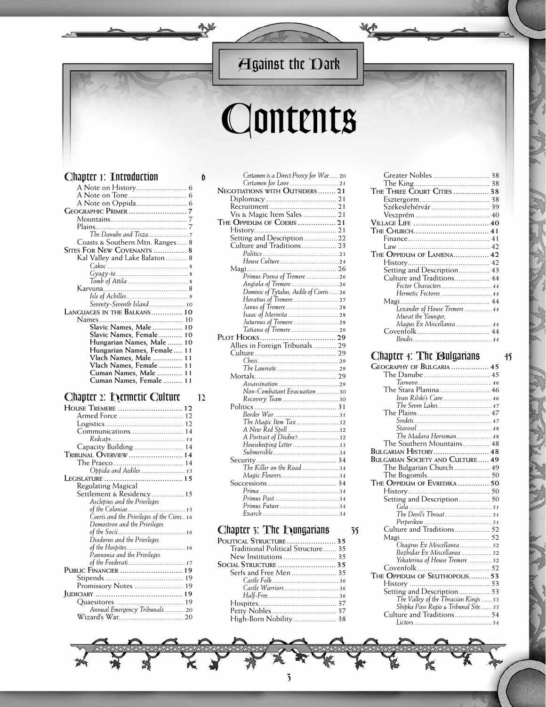## *Against the Dark*

# *Contents*

#### *Chapter 1: Introduction 6*

| Coasts & Southern Mtn. Ranges 8 |  |
|---------------------------------|--|
| SITES FOR NEW COVENANTS  8      |  |
| Kal Valley and Lake Balaton 8   |  |
|                                 |  |
|                                 |  |
|                                 |  |
|                                 |  |
|                                 |  |
|                                 |  |
| Seventy-Seventh Island  10      |  |
| LANGUAGES IN THE BALKANS 10     |  |
|                                 |  |
| Slavic Names, Male  10          |  |
| Slavic Names, Female 10         |  |
| Hungarian Names, Male  10       |  |
| Hungarian Names, Female  11     |  |
| Vlach Names, Male  11           |  |
| Vlach Names, Female  11         |  |
| Cuman Names, Male  11           |  |
| Cuman Names, Female  11         |  |

#### *Chapter 2: Hermetic Culture 12*

| HOUSE TREMERE  12                         |
|-------------------------------------------|
|                                           |
|                                           |
| Communications 14                         |
|                                           |
| Capacity Building  14                     |
| Tribunal $\rm O$ verview  14              |
|                                           |
| Oppida and Aediles  15                    |
|                                           |
| Regulating Magical                        |
| Settlement & Residency  15                |
| Asclepius and the Privileges              |
|                                           |
| Coeris and the Privileges of the Cives 16 |
| Domostron and the Privileges              |
|                                           |
| Diodorus and the Privileges               |
|                                           |
| Pannonia and the Privileges               |
|                                           |
| PUBLIC FINANCIER  19                      |
|                                           |
| Promissory Notes  19                      |
|                                           |
|                                           |
| Annual Emergency Tribunals  20            |
|                                           |

| Certamen is a Direct Proxy for War 20             |
|---------------------------------------------------|
|                                                   |
|                                                   |
|                                                   |
|                                                   |
| Vis & Magic Item Sales  21                        |
| THE OPPIDUM OF COERIS  21                         |
|                                                   |
| Setting and Description 22                        |
| Culture and Traditions 23                         |
|                                                   |
|                                                   |
|                                                   |
| .<br>Primus Poena of Tremere  26                  |
|                                                   |
|                                                   |
|                                                   |
|                                                   |
|                                                   |
|                                                   |
| Juturnus of Tremere  28<br>Tatiana of Tremere  29 |
|                                                   |
| Allies in Foreign Tribunals 29                    |
|                                                   |
|                                                   |
|                                                   |
|                                                   |
|                                                   |
| Non-Combatant Evacuation  30                      |
|                                                   |
|                                                   |
|                                                   |
| The Magic Item Tax 32                             |
|                                                   |
| A Portrait of Diedne? 32                          |
| Housekeeping Letter  33                           |
|                                                   |
|                                                   |
| The Killer on the Road 34                         |
|                                                   |
|                                                   |
|                                                   |
|                                                   |
|                                                   |
|                                                   |
|                                                   |

#### *Chapter 3: The Hungarians 35*

| POLITICAL STRUCTURE 35             |
|------------------------------------|
| Traditional Political Structure 35 |
|                                    |
|                                    |
| Serfs and Free Men  35             |
|                                    |
|                                    |
|                                    |
|                                    |
|                                    |
| High-Born Nobility  38             |

| THE THREE COURT CITIES  38         |  |
|------------------------------------|--|
|                                    |  |
| Székesfehérvár  39                 |  |
|                                    |  |
| Village Life  40                   |  |
| The Church 41                      |  |
|                                    |  |
|                                    |  |
| THE OPPIDUM OF LANIENA 42          |  |
|                                    |  |
| Setting and Description 43         |  |
| Culture and Traditions 44          |  |
| Fector Characters 44               |  |
| Hermetic Fectores  44              |  |
|                                    |  |
| .<br>Lexander of House Tremere  44 |  |
| Murat the Younger,                 |  |
| Magus Ex Miscellanea  44           |  |
|                                    |  |
|                                    |  |

#### *Chapter 4: The Bulgarians 45*

| GEOGRAPHY OF BULGARIA  45               |  |
|-----------------------------------------|--|
|                                         |  |
|                                         |  |
| The Stara Planina 46                    |  |
| Ivan Rilski's Cave 46                   |  |
| The Seven Lakes 47                      |  |
|                                         |  |
|                                         |  |
|                                         |  |
| The Madara Horseman 48                  |  |
| The Southern Mountains 48               |  |
| BULGARIAN HISTORY 48                    |  |
| <b>BULGARIAN SOCIETY AND CULTURE 49</b> |  |
| The Bulgarian Church  49                |  |
|                                         |  |
| THE OPPIDUM OF EVREDIKA  50             |  |
|                                         |  |
| Setting and Description 50              |  |
|                                         |  |
|                                         |  |
|                                         |  |
| Culture and Traditions 52               |  |
|                                         |  |
| .<br>Oeagrus Ex Miscellanea  52         |  |
| Bozbidar Ex Miscellanea  52             |  |
| Yekaterina of House Tremere  52         |  |
|                                         |  |
| THE OPPIDUM OF SEUTHOPOLIS 53           |  |
|                                         |  |
| Setting and Description 53              |  |
| The Valley of the Thracian Kings  53    |  |
| Shipka Pass Regio & Tribunal Site 53    |  |
| Culture and Traditions 54               |  |
|                                         |  |

#### *3*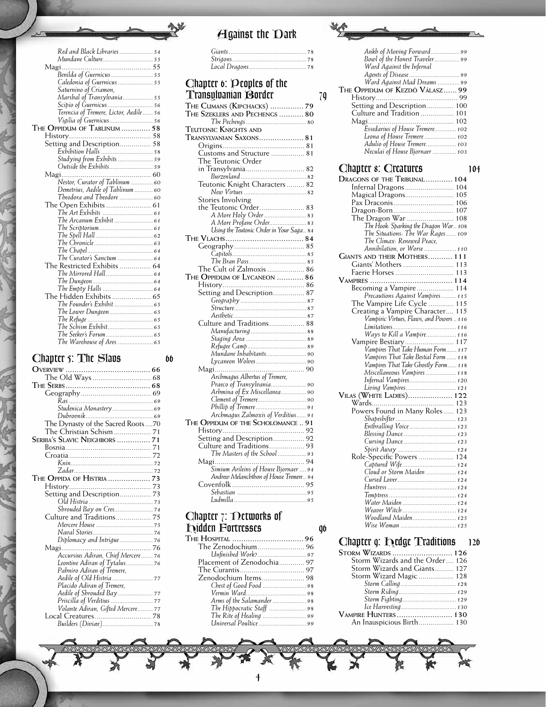| Red and Black Libraries  54             |  |
|-----------------------------------------|--|
| Mundane Culture 55                      |  |
| Magi                                    |  |
| .<br>Benilda of Guernicus  55           |  |
| Caledonia of Guernicus  55              |  |
| Saturnino of Criamon,                   |  |
| Marshal of Transylvania 55              |  |
| Scipio of Guernicus 56                  |  |
| Terencia of Tremere, Lictor, Aedile  56 |  |
| Vigilia of Guernicus 56                 |  |
| THE OPPIDUM OF TABLINUM  58             |  |
|                                         |  |
| Setting and Description 58              |  |
|                                         |  |
| Studying from Exhibits  59              |  |
|                                         |  |
|                                         |  |
| Nestor, Curator of Tablinum  60         |  |
| Demetrius, Aedile of Tablinum  60       |  |
| Theodora and Theodore  60               |  |
| The Open Exhibits  61                   |  |
|                                         |  |
| The Arcanum Exhibit  61                 |  |
|                                         |  |
|                                         |  |
|                                         |  |
|                                         |  |
| The Curator's Sanctum  64               |  |
| $\Gamma$ he Rectricted Exhibits $64$    |  |

| The Restricted Exhibits  64 |  |
|-----------------------------|--|
|                             |  |
|                             |  |
|                             |  |
|                             |  |
| The Founder's Exhibit  65   |  |
|                             |  |
|                             |  |
|                             |  |
|                             |  |
|                             |  |

## *Chapter 5: The Slavs 66*

| Studenica Monastery  69           |
|-----------------------------------|
|                                   |
| The Dynasty of the Sacred Roots70 |
| The Christian Schism  71          |
| SERBIA'S SLAVIC NEIGHBORS  71     |
|                                   |
|                                   |
|                                   |
|                                   |
| THE OPPIDA OF HISTRIA  73         |
|                                   |
| Setting and Description 73        |
|                                   |
| Shrouded Bay on Cres 74           |
| Culture and Traditions 75         |
|                                   |
|                                   |
|                                   |
|                                   |
|                                   |
| Leontine Adiran of Tytalus 76     |
| Pahniro Adiran of Tremere,        |
|                                   |
| Placido Adiran of Tremere,        |
|                                   |
|                                   |
| Volante Adiran, Gifted Mercere 77 |
|                                   |
| Builders (Diviæe) 78              |

### *Against the Dark*

#### *Chapter 6: Peoples of the Transylvanian Border 79*

妙

| THE CUMANS (KIPCHACKS)  79               |
|------------------------------------------|
| THE SZEKLERS AND PECHENGS  80            |
|                                          |
| Teutonic Knights and                     |
| TRANSYLVANIAN SAXONS 81                  |
|                                          |
|                                          |
| Customs and Structure  81                |
| The Teutonic Order                       |
| in Transylvania 82                       |
|                                          |
| Teutonic Knight Characters 82            |
|                                          |
| Stories Involving                        |
| the Teutonic Order 83                    |
| A More Holy Order  83                    |
|                                          |
| A More Profane Order 83                  |
| Using the Teutonic Order in Your Saga 84 |
|                                          |
|                                          |
|                                          |
|                                          |
| The Cult of Zalmoxis  86                 |
| THE OPPIDUM OF LYCANEON  86              |
|                                          |
| Setting and Description 87               |
|                                          |
|                                          |
|                                          |
|                                          |
| Culture and Traditions 88                |
|                                          |
|                                          |
|                                          |
| Mundane Inhabitants 90                   |
|                                          |
|                                          |
| Archmagus Albertus of Tremere,           |
| Praeco of Transylvania 90                |
| Arbmina of Ex Miscellanea 90             |
|                                          |
|                                          |
| Archmagus Zalmoxis of Verditius 91       |
|                                          |
| THE OPPIDUM OF THE SCHOLOMANCE  91       |
|                                          |
| Setting and Description 92               |
| Culture and Traditions 93                |
| The Masters of the School  93            |
|                                          |
| Simium Arileins of House Bjornaer  94    |
| Andrew Melanchthon of House Tremere 94   |
|                                          |
|                                          |
|                                          |
|                                          |

#### *Chapter 7: Networks of Hidden Fortresses 96*

| Placement of Zenodochia 97 |  |
|----------------------------|--|
|                            |  |
|                            |  |
|                            |  |
|                            |  |
| Arms of the Salamander 98  |  |
|                            |  |
|                            |  |
| Universal Poultice  99     |  |

| Ankh of Moving Forward99        |
|---------------------------------|
| Bowl of the Honest Traveler 99  |
| Ward Against the Infernal       |
|                                 |
| Ward Against Mad Dreams  99     |
| THE OPPIDUM OF KEZDÖ VÁLASZ 99  |
|                                 |
| Setting and Description 100     |
| Culture and Tradition  101      |
|                                 |
| Essedarius of House Tremere 102 |
| Leona of House Tremere  102     |
| Adulio of House Tremere 103     |
| Neculai of House Bjornaer  103  |
|                                 |

| Chapter s: Creatures<br>104                                                  |  |
|------------------------------------------------------------------------------|--|
| DRAGONS OF THE TRIBUNAL  104                                                 |  |
| Infernal Dragons 104                                                         |  |
| Magical Dragons 105                                                          |  |
|                                                                              |  |
| Dragon-Born 107                                                              |  |
|                                                                              |  |
| The Hook: Sparking the Dragon War 108                                        |  |
| The Situations: The War Rages 109                                            |  |
| The Climax: Renewed Peace,                                                   |  |
| Annihilation, or Worse  110                                                  |  |
| <b>GIANTS AND THEIR MOTHERS 111</b>                                          |  |
| Giants' Mothers  113                                                         |  |
| Faerie Horses  113                                                           |  |
|                                                                              |  |
| Becoming a Vampire 114                                                       |  |
| Precautions Against Vampires 115                                             |  |
| The Vampire Life Cycle  115                                                  |  |
| Creating a Vampire Character 115<br>Vampiric Virtues, Flaws, and Powers  116 |  |
|                                                                              |  |
| Ways to Kill a Vampire 116                                                   |  |
| Vampire Bestiary 117                                                         |  |
| Vampires That Take Human Form 117                                            |  |
| Vampires That Take Bestial Form  118                                         |  |
| Vampires That Take Ghostly Form 118                                          |  |
| Miscellaneous Vampires  118                                                  |  |
| Infernal Vampires 120                                                        |  |
| Living Vampires 121                                                          |  |
| <b>VILAS (WHITE LADIES) 122</b>                                              |  |
|                                                                              |  |
| Powers Found in Many Roles  123                                              |  |
|                                                                              |  |
| Enthralling Voice 123                                                        |  |
| Blessing Dance 123                                                           |  |
| Cursing Dance 123                                                            |  |
|                                                                              |  |
| Role-Specific Powers  124                                                    |  |
| Captured Wife 124                                                            |  |
| Cloud or Storm Maiden  124                                                   |  |
|                                                                              |  |
|                                                                              |  |
| Water Maiden  124                                                            |  |
| Weaver Witch 124                                                             |  |
| Woodland Maiden 125                                                          |  |
| Wise Woman  125                                                              |  |

## *Chapter 9: Hedge Traditions 126*

| Storm Wizards  126              |
|---------------------------------|
| Storm Wizards and the Order 126 |
| Storm Wizards and Giants 127    |
| Storm Wizard Magic  128         |
|                                 |
| Storm Riding  129               |
| Storm Fighting 129              |
|                                 |
|                                 |
| An Inauspicious Birth 130       |